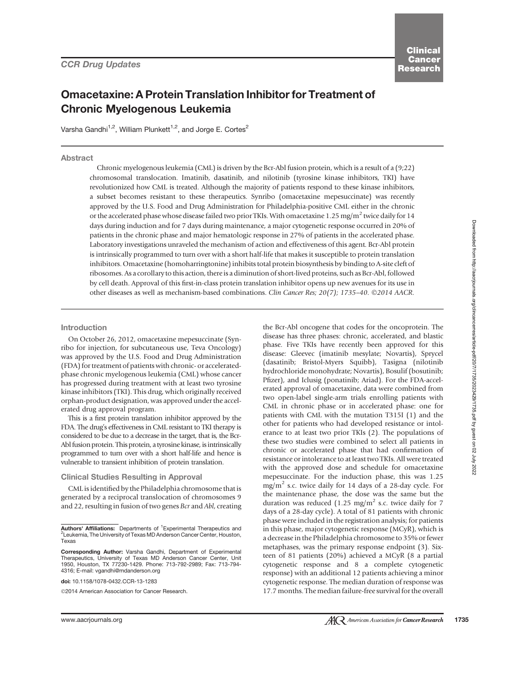# Omacetaxine: A Protein Translation Inhibitor for Treatment of Chronic Myelogenous Leukemia

Varsha Gandhi<sup>1,2</sup>, William Plunkett<sup>1,2</sup>, and Jorge E. Cortes<sup>2</sup>

# Abstract

Chronic myelogenous leukemia (CML) is driven by the Bcr-Abl fusion protein, which is a result of a (9;22) chromosomal translocation. Imatinib, dasatinib, and nilotinib (tyrosine kinase inhibitors, TKI) have revolutionized how CML is treated. Although the majority of patients respond to these kinase inhibitors, a subset becomes resistant to these therapeutics. Synribo (omacetaxine mepesuccinate) was recently approved by the U.S. Food and Drug Administration for Philadelphia-positive CML either in the chronic or the accelerated phase whose disease failed two prior TKIs. With omacetaxine 1.25 mg/m<sup>2</sup> twice daily for 14 days during induction and for 7 days during maintenance, a major cytogenetic response occurred in 20% of patients in the chronic phase and major hematologic response in 27% of patients in the accelerated phase. Laboratory investigations unraveled the mechanism of action and effectiveness of this agent. Bcr-Abl protein is intrinsically programmed to turn over with a short half-life that makes it susceptible to protein translation inhibitors. Omacetaxine (homoharringtonine) inhibits total protein biosynthesis by binding to A-site cleft of ribosomes. As a corollary to this action, thereis a diminution of short-lived proteins, such as Bcr-Abl, followed by cell death. Approval of this first-in-class protein translation inhibitor opens up new avenues for its use in other diseases as well as mechanism-based combinations. Clin Cancer Res; 20(7); 1735-40. ©2014 AACR.

Introduction

On October 26, 2012, omacetaxine mepesuccinate (Synribo for injection, for subcutaneous use, Teva Oncology) was approved by the U.S. Food and Drug Administration (FDA) for treatment of patients with chronic- or acceleratedphase chronic myelogenous leukemia (CML) whose cancer has progressed during treatment with at least two tyrosine kinase inhibitors (TKI). This drug, which originally received orphan-product designation, was approved under the accelerated drug approval program.

This is a first protein translation inhibitor approved by the FDA. The drug's effectiveness in CML resistant to TKI therapy is considered to be due to a decrease in the target, that is, the Bcr-Abl fusion protein. This protein, a tyrosine kinase, is intrinsically programmed to turn over with a short half-life and hence is vulnerable to transient inhibition of protein translation.

#### Clinical Studies Resulting in Approval

CML is identified by the Philadelphia chromosome that is generated by a reciprocal translocation of chromosomes 9 and 22, resulting in fusion of two genes Bcr and Abl, creating

doi: 10.1158/1078-0432.CCR-13-1283

2014 American Association for Cancer Research.

the Bcr-Abl oncogene that codes for the oncoprotein. The disease has three phases: chronic, accelerated, and blastic phase. Five TKIs have recently been approved for this disease: Gleevec (imatinib mesylate; Novartis), Sprycel (dasatinib; Bristol-Myers Squibb), Tasigna (nilotinib hydrochloride monohydrate; Novartis), Bosulif (bosutinib; Pfizer), and Iclusig (ponatinib; Ariad). For the FDA-accelerated approval of omacetaxine, data were combined from two open-label single-arm trials enrolling patients with CML in chronic phase or in accelerated phase: one for patients with CML with the mutation T315I (1) and the other for patients who had developed resistance or intolerance to at least two prior TKIs (2). The populations of these two studies were combined to select all patients in chronic or accelerated phase that had confirmation of resistance or intolerance to at least two TKIs. All were treated with the approved dose and schedule for omacetaxine mepesuccinate. For the induction phase, this was 1.25 mg/m<sup>2</sup> s.c. twice daily for 14 days of a 28-day cycle. For the maintenance phase, the dose was the same but the duration was reduced  $(1.25 \text{ mg/m}^2 \text{ s.c.})$  twice daily for 7 days of a 28-day cycle). A total of 81 patients with chronic phase were included in the registration analysis; for patients in this phase, major cytogenetic response (MCyR), which is a decrease in the Philadelphia chromosome to 35% or fewer metaphases, was the primary response endpoint (3). Sixteen of 81 patients (20%) achieved a MCyR (8 a partial cytogenetic response and 8 a complete cytogenetic response) with an additional 12 patients achieving a minor cytogenetic response. The median duration of response was 17.7 months. The median failure-free survival for the overall

**Authors' Affiliations:** Departments of <sup>1</sup>Experimental Therapeutics and<br><sup>2</sup>Laukemia The University of Texas MD Anderson Cancer Center Houston <sup>2</sup>Leukemia, The University of Texas MD Anderson Cancer Center, Houston, Texas

Corresponding Author: Varsha Gandhi, Department of Experimental Therapeutics, University of Texas MD Anderson Cancer Center, Unit 1950, Houston, TX 77230-1429. Phone: 713-792-2989; Fax: 713-794- 4316; E-mail: vgandhi@mdanderson.org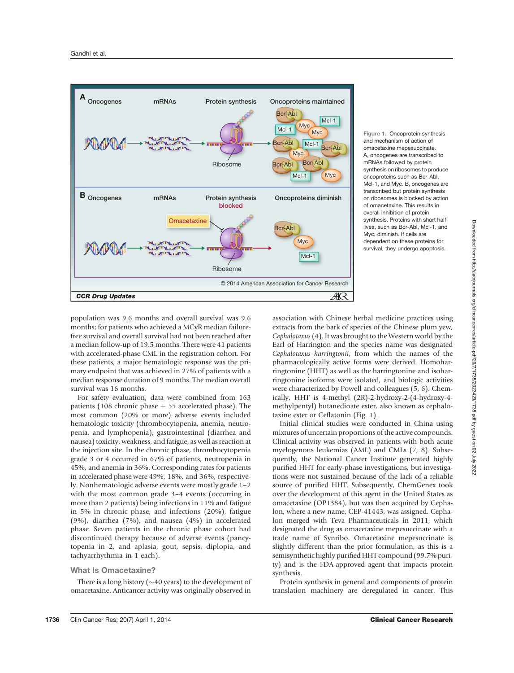

Figure 1. Oncoprotein synthesis and mechanism of action of omacetaxine mepesuccinate. A, oncogenes are transcribed to mRNAs followed by protein synthesis on ribosomes to produce oncoproteins such as Bcr-Abl, Mcl-1, and Myc. B, oncogenes are transcribed but protein synthesis on ribosomes is blocked by action of omacetaxine. This results in overall inhibition of protein synthesis. Proteins with short halflives, such as Bcr-Abl, Mcl-1, and Myc, diminish. If cells are dependent on these proteins for survival, they undergo apoptosis.

population was 9.6 months and overall survival was 9.6 months; for patients who achieved a MCyR median failurefree survival and overall survival had not been reached after a median follow-up of 19.5 months. There were 41 patients with accelerated-phase CML in the registration cohort. For these patients, a major hematologic response was the primary endpoint that was achieved in 27% of patients with a median response duration of 9 months. The median overall survival was 16 months.

For safety evaluation, data were combined from 163 patients (108 chronic phase  $+55$  accelerated phase). The most common (20% or more) adverse events included hematologic toxicity (thrombocytopenia, anemia, neutropenia, and lymphopenia), gastrointestinal (diarrhea and nausea) toxicity, weakness, and fatigue, as well as reaction at the injection site. In the chronic phase, thrombocytopenia grade 3 or 4 occurred in 67% of patients, neutropenia in 45%, and anemia in 36%. Corresponding rates for patients in accelerated phase were 49%, 18%, and 36%, respectively. Nonhematologic adverse events were mostly grade 1–2 with the most common grade 3–4 events (occurring in more than 2 patients) being infections in 11% and fatigue in 5% in chronic phase, and infections (20%), fatigue (9%), diarrhea (7%), and nausea (4%) in accelerated phase. Seven patients in the chronic phase cohort had discontinued therapy because of adverse events (pancytopenia in 2, and aplasia, gout, sepsis, diplopia, and tachyarrhythmia in 1 each).

# What Is Omacetaxine?

There is a long history ( $\sim$ 40 years) to the development of omacetaxine. Anticancer activity was originally observed in association with Chinese herbal medicine practices using extracts from the bark of species of the Chinese plum yew, Cephalotaxus (4). It was brought to the Western world by the Earl of Harrington and the species name was designated Cephalotaxus harringtonii, from which the names of the pharmacologically active forms were derived. Homoharringtonine (HHT) as well as the harringtonine and isoharringtonine isoforms were isolated, and biologic activities were characterized by Powell and colleagues (5, 6). Chemically, HHT is 4-methyl (2R)-2-hydroxy-2-(4-hydroxy-4 methylpentyl) butanedioate ester, also known as cephalotaxine ester or Ceflatonin (Fig. 1).

Initial clinical studies were conducted in China using mixtures of uncertain proportions of the active compounds. Clinical activity was observed in patients with both acute myelogenous leukemias (AML) and CMLs (7, 8). Subsequently, the National Cancer Institute generated highly purified HHT for early-phase investigations, but investigations were not sustained because of the lack of a reliable source of purified HHT. Subsequently, ChemGenex took over the development of this agent in the United States as omacetaxine (OP1384), but was then acquired by Cephalon, where a new name, CEP-41443, was assigned. Cephalon merged with Teva Pharmaceuticals in 2011, which designated the drug as omacetaxine mepesuccinate with a trade name of Synribo. Omacetaxine mepesuccinate is slightly different than the prior formulation, as this is a semisynthetic highly purified HHT compound (99.7% purity) and is the FDA-approved agent that impacts protein synthesis.

Protein synthesis in general and components of protein translation machinery are deregulated in cancer. This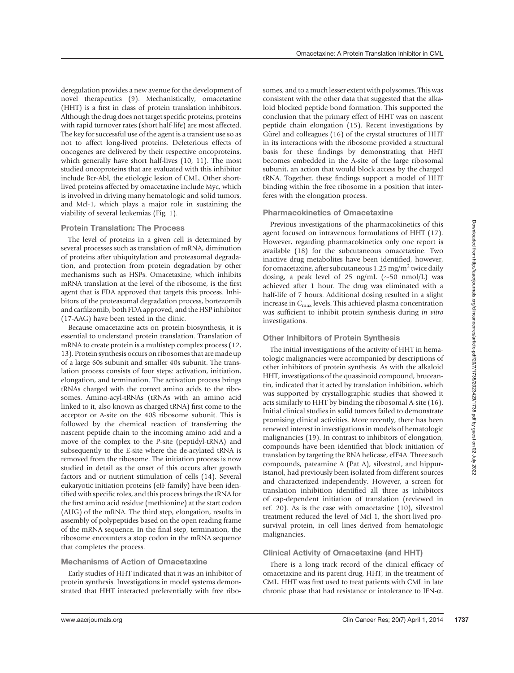deregulation provides a new avenue for the development of novel therapeutics (9). Mechanistically, omacetaxine (HHT) is a first in class of protein translation inhibitors. Although the drug does not target specific proteins, proteins with rapid turnover rates (short half-life) are most affected. The key for successful use of the agent is a transient use so as not to affect long-lived proteins. Deleterious effects of oncogenes are delivered by their respective oncoproteins, which generally have short half-lives (10, 11). The most studied oncoproteins that are evaluated with this inhibitor include Bcr-Abl, the etiologic lesion of CML. Other shortlived proteins affected by omacetaxine include Myc, which is involved in driving many hematologic and solid tumors, and Mcl-1, which plays a major role in sustaining the viability of several leukemias (Fig. 1).

#### Protein Translation: The Process

The level of proteins in a given cell is determined by several processes such as translation of mRNA, diminution of proteins after ubiquitylation and proteasomal degradation, and protection from protein degradation by other mechanisms such as HSPs. Omacetaxine, which inhibits mRNA translation at the level of the ribosome, is the first agent that is FDA approved that targets this process. Inhibitors of the proteasomal degradation process, bortezomib and carfilzomib, both FDA approved, and the HSP inhibitor (17-AAG) have been tested in the clinic.

Because omacetaxine acts on protein biosynthesis, it is essential to understand protein translation. Translation of mRNA to create protein is a multistep complex process (12, 13). Protein synthesis occurs on ribosomes that are made up of a large 60s subunit and smaller 40s subunit. The translation process consists of four steps: activation, initiation, elongation, and termination. The activation process brings tRNAs charged with the correct amino acids to the ribosomes. Amino-acyl-tRNAs (tRNAs with an amino acid linked to it, also known as charged tRNA) first come to the acceptor or A-site on the 40S ribosome subunit. This is followed by the chemical reaction of transferring the nascent peptide chain to the incoming amino acid and a move of the complex to the P-site (peptidyl-tRNA) and subsequently to the E-site where the de-acylated tRNA is removed from the ribosome. The initiation process is now studied in detail as the onset of this occurs after growth factors and or nutrient stimulation of cells (14). Several eukaryotic initiation proteins (eIF family) have been identified with specific roles, and this process brings the tRNA for the first amino acid residue (methionine) at the start codon (AUG) of the mRNA. The third step, elongation, results in assembly of polypeptides based on the open reading frame of the mRNA sequence. In the final step, termination, the ribosome encounters a stop codon in the mRNA sequence that completes the process.

#### Mechanisms of Action of Omacetaxine

Early studies of HHT indicated that it was an inhibitor of protein synthesis. Investigations in model systems demonstrated that HHT interacted preferentially with free ribosomes, and to a much lesser extent with polysomes. This was consistent with the other data that suggested that the alkaloid blocked peptide bond formation. This supported the conclusion that the primary effect of HHT was on nascent peptide chain elongation (15). Recent investigations by Gürel and colleagues  $(16)$  of the crystal structures of HHT in its interactions with the ribosome provided a structural basis for these findings by demonstrating that HHT becomes embedded in the A-site of the large ribosomal subunit, an action that would block access by the charged tRNA. Together, these findings support a model of HHT binding within the free ribosome in a position that interferes with the elongation process.

# Pharmacokinetics of Omacetaxine

Previous investigations of the pharmacokinetics of this agent focused on intravenous formulations of HHT (17). However, regarding pharmacokinetics only one report is available (18) for the subcutaneous omacetaxine. Two inactive drug metabolites have been identified, however, for omacetaxine, after subcutaneous  $1.25$  mg/m<sup>2</sup> twice daily dosing, a peak level of 25 ng/mL  $(\sim 50 \text{ nmol/L})$  was achieved after 1 hour. The drug was eliminated with a half-life of 7 hours. Additional dosing resulted in a slight increase in  $C_{\text{max}}$  levels. This achieved plasma concentration was sufficient to inhibit protein synthesis during in vitro investigations.

#### Other Inhibitors of Protein Synthesis

The initial investigations of the activity of HHT in hematologic malignancies were accompanied by descriptions of other inhibitors of protein synthesis. As with the alkaloid HHT, investigations of the quassinoid compound, bruceantin, indicated that it acted by translation inhibition, which was supported by crystallographic studies that showed it acts similarly to HHT by binding the ribosomal A-site (16). Initial clinical studies in solid tumors failed to demonstrate promising clinical activities. More recently, there has been renewed interest in investigations in models of hematologic malignancies (19). In contrast to inhibitors of elongation, compounds have been identified that block initiation of translation by targeting the RNA helicase, eIF4A. Three such compounds, pateamine A (Pat A), silvestrol, and hippuristanol, had previously been isolated from different sources and characterized independently. However, a screen for translation inhibition identified all three as inhibitors of cap-dependent initiation of translation (reviewed in ref. 20). As is the case with omacetaxine (10), silvestrol treatment reduced the level of Mcl-1, the short-lived prosurvival protein, in cell lines derived from hematologic malignancies.

## Clinical Activity of Omacetaxine (and HHT)

There is a long track record of the clinical efficacy of omacetaxine and its parent drug, HHT, in the treatment of CML. HHT was first used to treat patients with CML in late chronic phase that had resistance or intolerance to IFN-a.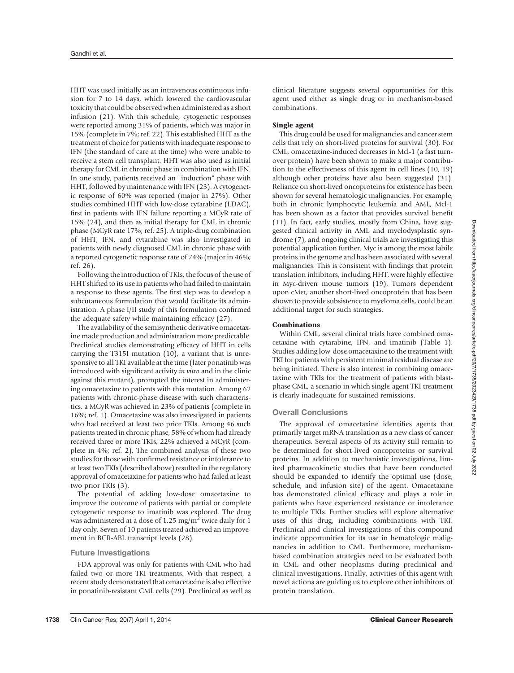HHT was used initially as an intravenous continuous infusion for 7 to 14 days, which lowered the cardiovascular toxicity that could be observed when administered as a short infusion (21). With this schedule, cytogenetic responses were reported among 31% of patients, which was major in 15% (complete in 7%; ref. 22). This established HHT as the treatment of choice for patients with inadequate response to IFN (the standard of care at the time) who were unable to receive a stem cell transplant. HHT was also used as initial therapy for CML in chronic phase in combination with IFN. In one study, patients received an "induction" phase with HHT, followed by maintenance with IFN (23). A cytogenetic response of 60% was reported (major in 27%). Other studies combined HHT with low-dose cytarabine (LDAC), first in patients with IFN failure reporting a MCyR rate of 15% (24), and then as initial therapy for CML in chronic phase (MCyR rate 17%; ref. 25). A triple-drug combination of HHT, IFN, and cytarabine was also investigated in patients with newly diagnosed CML in chronic phase with a reported cytogenetic response rate of 74% (major in 46%; ref. 26).

Following the introduction of TKIs, the focus of the use of HHT shifted to its use in patients who had failed to maintain a response to these agents. The first step was to develop a subcutaneous formulation that would facilitate its administration. A phase I/II study of this formulation confirmed the adequate safety while maintaining efficacy (27).

The availability of the semisynthetic derivative omacetaxine made production and administration more predictable. Preclinical studies demonstrating efficacy of HHT in cells carrying the T315I mutation (10), a variant that is unresponsive to all TKI available at the time (later ponatinib was introduced with significant activity in vitro and in the clinic against this mutant), prompted the interest in administering omacetaxine to patients with this mutation. Among 62 patients with chronic-phase disease with such characteristics, a MCyR was achieved in 23% of patients (complete in 16%; ref. 1). Omacetaxine was also investigated in patients who had received at least two prior TKIs. Among 46 such patients treated in chronic phase, 58% of whom had already received three or more TKIs, 22% achieved a MCyR (complete in 4%; ref. 2). The combined analysis of these two studies for those with confirmed resistance or intolerance to at least two TKIs (described above) resulted in the regulatory approval of omacetaxine for patients who had failed at least two prior TKIs (3).

The potential of adding low-dose omacetaxine to improve the outcome of patients with partial or complete cytogenetic response to imatinib was explored. The drug was administered at a dose of 1.25 mg/m<sup>2</sup> twice daily for 1 day only. Seven of 10 patients treated achieved an improvement in BCR-ABL transcript levels (28).

#### Future Investigations

FDA approval was only for patients with CML who had failed two or more TKI treatments. With that respect, a recent study demonstrated that omacetaxine is also effective in ponatinib-resistant CML cells (29). Preclinical as well as clinical literature suggests several opportunities for this agent used either as single drug or in mechanism-based combinations.

#### Single agent

This drug could be used for malignancies and cancer stem cells that rely on short-lived proteins for survival (30). For CML, omacetaxine-induced decreases in Mcl-1 (a fast turnover protein) have been shown to make a major contribution to the effectiveness of this agent in cell lines (10, 19) although other proteins have also been suggested (31). Reliance on short-lived oncoproteins for existence has been shown for several hematologic malignancies. For example, both in chronic lymphocytic leukemia and AML, Mcl-1 has been shown as a factor that provides survival benefit (11). In fact, early studies, mostly from China, have suggested clinical activity in AML and myelodysplastic syndrome (7), and ongoing clinical trials are investigating this potential application further. Myc is among the most labile proteins in the genome and has been associated with several malignancies. This is consistent with findings that protein translation inhibitors, including HHT, were highly effective in Myc-driven mouse tumors (19). Tumors dependent upon cMet, another short-lived oncoprotein that has been shown to provide subsistence to myeloma cells, could be an additional target for such strategies.

# Combinations

Within CML, several clinical trials have combined omacetaxine with cytarabine, IFN, and imatinib (Table 1). Studies adding low-dose omacetaxine to the treatment with TKI for patients with persistent minimal residual disease are being initiated. There is also interest in combining omacetaxine with TKIs for the treatment of patients with blastphase CML, a scenario in which single-agent TKI treatment is clearly inadequate for sustained remissions.

## Overall Conclusions

The approval of omacetaxine identifies agents that primarily target mRNA translation as a new class of cancer therapeutics. Several aspects of its activity still remain to be determined for short-lived oncoproteins or survival proteins. In addition to mechanistic investigations, limited pharmacokinetic studies that have been conducted should be expanded to identify the optimal use (dose, schedule, and infusion site) of the agent. Omacetaxine has demonstrated clinical efficacy and plays a role in patients who have experienced resistance or intolerance to multiple TKIs. Further studies will explore alternative uses of this drug, including combinations with TKI. Preclinical and clinical investigations of this compound indicate opportunities for its use in hematologic malignancies in addition to CML. Furthermore, mechanismbased combination strategies need to be evaluated both in CML and other neoplasms during preclinical and clinical investigations. Finally, activities of this agent with novel actions are guiding us to explore other inhibitors of protein translation.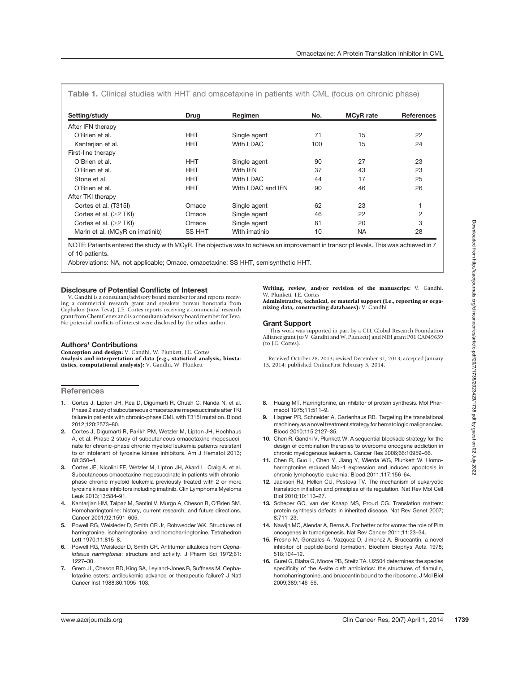| Setting/study                   | <b>Drug</b>   | Regimen           | No. | <b>MCyR</b> rate | <b>References</b> |
|---------------------------------|---------------|-------------------|-----|------------------|-------------------|
| After IFN therapy               |               |                   |     |                  |                   |
| O'Brien et al.                  | <b>HHT</b>    | Single agent      | 71  | 15               | 22                |
| Kantarjian et al.               | <b>HHT</b>    | With LDAC         | 100 | 15               | 24                |
| First-line therapy              |               |                   |     |                  |                   |
| O'Brien et al.                  | <b>HHT</b>    | Single agent      | 90  | 27               | 23                |
| O'Brien et al.                  | <b>HHT</b>    | With IFN          | 37  | 43               | 23                |
| Stone et al.                    | <b>HHT</b>    | With LDAC         | 44  | 17               | 25                |
| O'Brien et al.                  | <b>HHT</b>    | With LDAC and IFN | 90  | 46               | 26                |
| After TKI therapy               |               |                   |     |                  |                   |
| Cortes et al. (T315I)           | Omace         | Single agent      | 62  | 23               |                   |
| Cortes et al. $(>2$ TKI)        | Omace         | Single agent      | 46  | 22               | 2                 |
| Cortes et al. $(>2$ TKI)        | Omace         | Single agent      | 81  | 20               | 3                 |
| Marin et al. (MCyR on imatinib) | <b>SS HHT</b> | With imatinib     | 10  | NA.              | 28                |

NOTE: Patients entered the study with MCyR. The objective was to achieve an improvement in transcript levels. This was achieved in 7 of 10 patients.

Abbreviations: NA, not applicable; Omace, omacetaxine; SS HHT, semisynthetic HHT.

# Disclosure of Potential Conflicts of Interest

V. Gandhi is a consultant/advisory board member for and reports receiving a commercial research grant and speakers bureau honoraria from Cephalon (now Teva). J.E. Cortes reports receiving a commercial research grant from ChemGenex and is a consultant/advisory board member for Teva. No potential conflicts of interest were disclosed by the other author.

#### Authors' Contributions

Conception and design: V. Gandhi, W. Plunkett, J.E. Cortes Analysis and interpretation of data (e.g., statistical analysis, biostatistics, computational analysis): V. Gandhi, W. Plunkett

# References

- 1. Cortes J, Lipton JH, Rea D, Digumarti R, Chuah C, Nanda N, et al. Phase 2 study of subcutaneous omacetaxine mepesuccinate after TKI failure in patients with chronic-phase CML with T315I mutation. Blood 2012;120:2573–80.
- 2. Cortes J, Digumarti R, Parikh PM, Wetzler M, Lipton JH, Hochhaus A, et al. Phase 2 study of subcutaneous omacetaxine mepesuccinate for chronic-phase chronic myeloid leukemia patients resistant to or intolerant of tyrosine kinase inhibitors. Am J Hematol 2013; 88:350–4.
- 3. Cortes JE, Nicolini FE, Wetzler M, Lipton JH, Akard L, Craig A, et al. Subcutaneous omacetaxine mepesuccinate in patients with chronicphase chronic myeloid leukemia previously treated with 2 or more tyrosine kinase inhibitors including imatinib. Clin Lymphoma Myeloma Leuk 2013;13:584–91.
- 4. Kantarjian HM, Talpaz M, Santini V, Murgo A, Cheson B, O'Brien SM. Homoharringtonine: history, current research, and future directions. Cancer 2001;92:1591–605.
- 5. Powell RG, Weisleder D, Smith CR Jr, Rohwedder WK. Structures of harringtonine, isoharringtonine, and homoharringtonine. Tetrahedron Lett 1970;11:815–8.
- 6. Powell RG, Weisleder D, Smith CR. Antitumor alkaloids from Cephalotaxus harringtonia: structure and activity. J Pharm Sci 1972;61: 1227–30.
- 7. Grem JL, Cheson BD, King SA, Leyland-Jones B, Suffness M. Cephalotaxine esters: antileukemic advance or therapeutic failure? J Natl Cancer Inst 1988;80:1095–103.

Writing, review, and/or revision of the manuscript: V. Gandhi, W. Plunkett, J.E. Cortes

Administrative, technical, or material support (i.e., reporting or organizing data, constructing databases): V. Gandhi

#### Grant Support

This work was supported in part by a CLL Global Research Foundation Alliance grant (to V. Gandhi and W. Plunkett) and NIH grant P01 CA049639 (to J.E. Cortes).

Received October 28, 2013; revised December 31, 2013; accepted January 15, 2014; published OnlineFirst February 5, 2014.

- 8. Huang MT. Harringtonine, an inhibitor of protein synthesis. Mol Pharmacol 1975;11:511–9.
- 9. Hagner PR, Schneider A, Gartenhaus RB. Targeting the translational machinery as a novel treatment strategy for hematologic malignancies. Blood 2010;115:2127–35.
- 10. Chen R, Gandhi V, Plunkett W. A sequential blockade strategy for the design of combination therapies to overcome oncogene addiction in chronic myelogenous leukemia. Cancer Res 2006;66:10959–66.
- 11. Chen R, Guo L, Chen Y, Jiang Y, Wierda WG, Plunkett W. Homoharringtonine reduced Mcl-1 expression and induced apoptosis in chronic lymphocytic leukemia. Blood 2011;117:156–64.
- 12. Jackson RJ, Hellen CU, Pestova TV. The mechanism of eukaryotic translation initiation and principles of its regulation. Nat Rev Mol Cell Biol 2010;10:113–27.
- 13. Scheper GC, van der Knaap MS, Proud CG. Translation matters: protein synthesis defects in inherited disease. Nat Rev Genet 2007; 8:711–23.
- 14. Nawijn MC, Alendar A, Berns A. For better or for worse: the role of Pim oncogenes in tumorigenesis. Nat Rev Cancer 2011;11:23–34.
- 15. Fresno M, Gonzales A, Vazquez D, Jimenez A. Bruceantin, a novel inhibitor of peptide-bond formation. Biochim Biophys Acta 1978; 518:104–12.
- 16. Gürel G, Blaha G, Moore PB, Steitz TA. U2504 determines the species specificity of the A-site cleft antibiotics: the structures of tiamulin, homoharringtonine, and bruceantin bound to the ribosome. J Mol Biol 2009;389:146–56.